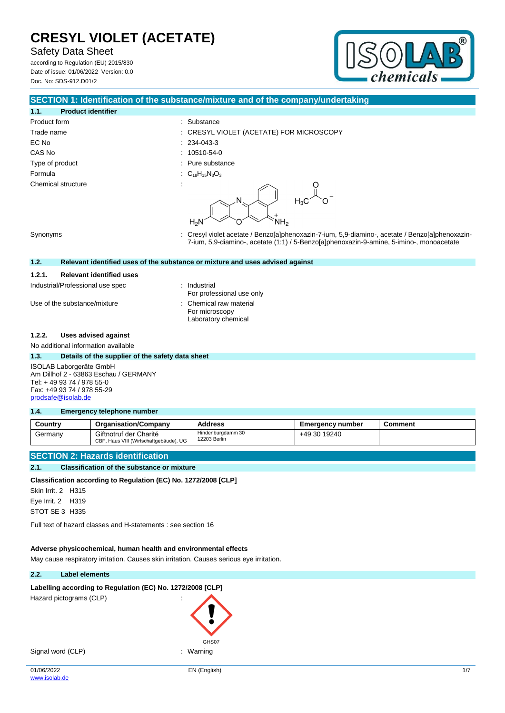Safety Data Sheet

according to Regulation (EU) 2015/830 Date of issue: 01/06/2022 Version: 0.0 Doc. No: SDS-912.D01/2



### **SECTION 1: Identification of the substance/mixture and of the company/undertaking**

# **1.1. Product identifier** Product form : Substance : Substance EC No : 234-043-3 CAS No : 10510-54-0 Type of product in the substance in the substance in the substance in the substance Formula : C<sub>18</sub>H<sub>15</sub>N<sub>3</sub>O<sub>3</sub> Chemical structure

- Trade name : CRESYL VIOLET (ACETATE) FOR MICROSCOPY
	- -
		-
		-





Synonyms : Cresyl violet acetate / Benzo[a]phenoxazin-7-ium, 5,9-diamino-, acetate / Benzo[a]phenoxazin-7-ium, 5,9-diamino-, acetate (1:1) / 5-Benzo[a]phenoxazin-9-amine, 5-imino-, monoacetate

### **1.2. Relevant identified uses of the substance or mixture and uses advised against**

### **1.2.1. Relevant identified uses**

Industrial/Professional use spec : Industrial

Use of the substance/mixture : Chemical raw material

For professional use only For microscopy Laboratory chemical

### **1.2.2. Uses advised against**

No additional information available

**1.3. Details of the supplier of the safety data sheet** ISOLAB Laborgeräte GmbH Am Dillhof 2 - 63863 Eschau / GERMANY Tel: + 49 93 74 / 978 55-0 Fax: +49 93 74 / 978 55-29 [prodsafe@isolab.de](mailto:prodsafe@isolab.de)

#### **1.4. Emergency telephone number**

| Country | <b>Organisation/Company</b>                                      | <b>Address</b>                    | Emergency number | Comment |
|---------|------------------------------------------------------------------|-----------------------------------|------------------|---------|
| Germany | Giftnotruf der Charité<br>CBF, Haus VIII (Wirtschaftgebäude), UG | Hindenburgdamm 30<br>12203 Berlin | +49 30 19240     |         |

## **SECTION 2: Hazards identification**

### **2.1. Classification of the substance or mixture**

**Classification according to Regulation (EC) No. 1272/2008 [CLP]**

Skin Irrit. 2 H315 Eye Irrit. 2 H319 STOT SE 3 H335

Full text of hazard classes and H-statements : see section 16

### **Adverse physicochemical, human health and environmental effects**

May cause respiratory irritation. Causes skin irritation. Causes serious eye irritation.

### **2.2. Label elements**

### Labelling according to Regulation (EC) No. 1272/2008 [CLP]

Hazard pictograms (CLP) :

Signal word (CLP) : Warning

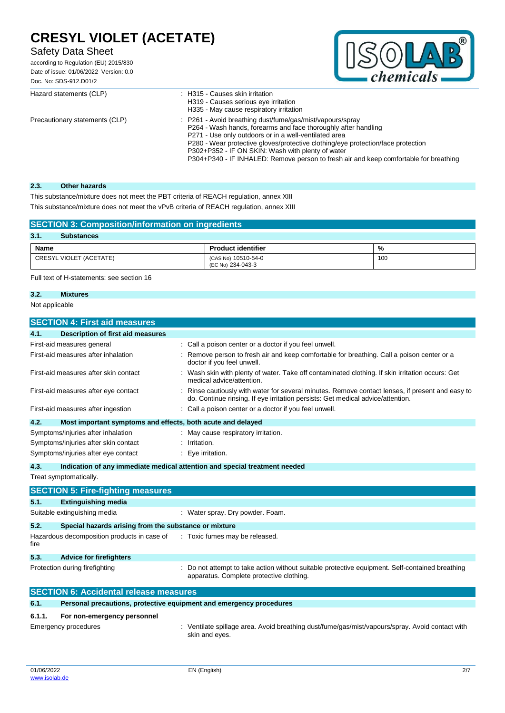# Safety Data Sheet

according to Regulation (EU) 2015/830 Date of issue: 01/06/2022 Version: 0.0 Doc. No: SDS-912.D01/2



| Hazard statements (CLP)        | : H315 - Causes skin irritation<br>H319 - Causes serious eye irritation<br>H335 - May cause respiratory irritation                                                                                                                                                                                                                                                                                                     |
|--------------------------------|------------------------------------------------------------------------------------------------------------------------------------------------------------------------------------------------------------------------------------------------------------------------------------------------------------------------------------------------------------------------------------------------------------------------|
| Precautionary statements (CLP) | : P261 - Avoid breathing dust/fume/gas/mist/vapours/spray<br>P264 - Wash hands, forearms and face thoroughly after handling<br>P271 - Use only outdoors or in a well-ventilated area<br>P280 - Wear protective gloves/protective clothing/eye protection/face protection<br>P302+P352 - IF ON SKIN: Wash with plenty of water<br>P304+P340 - IF INHALED: Remove person to fresh air and keep comfortable for breathing |

### **2.3. Other hazards**

This substance/mixture does not meet the PBT criteria of REACH regulation, annex XIII

This substance/mixture does not meet the vPvB criteria of REACH regulation, annex XIII

## **SECTION 3: Composition/information on ingredients**

#### **3.1. Substances Name Product identifier Product identifier All 2016** CRESYL VIOLET (ACETATE) (CAS No) 10510-54-0 (EC No) 234-043-3 100

Full text of H-statements: see section 16

### **3.2. Mixtures**

Not applicable

| <b>SECTION 4: First aid measures</b>                                |                                                                                                                                                                                   |  |  |
|---------------------------------------------------------------------|-----------------------------------------------------------------------------------------------------------------------------------------------------------------------------------|--|--|
| <b>Description of first aid measures</b><br>4.1.                    |                                                                                                                                                                                   |  |  |
| First-aid measures general                                          | : Call a poison center or a doctor if you feel unwell.                                                                                                                            |  |  |
| First-aid measures after inhalation                                 | Remove person to fresh air and keep comfortable for breathing. Call a poison center or a<br>doctor if you feel unwell.                                                            |  |  |
| First-aid measures after skin contact                               | Wash skin with plenty of water. Take off contaminated clothing. If skin irritation occurs: Get<br>medical advice/attention.                                                       |  |  |
| First-aid measures after eye contact                                | Rinse cautiously with water for several minutes. Remove contact lenses, if present and easy to<br>do. Continue rinsing. If eye irritation persists: Get medical advice/attention. |  |  |
| First-aid measures after ingestion                                  | : Call a poison center or a doctor if you feel unwell.                                                                                                                            |  |  |
| 4.2.<br>Most important symptoms and effects, both acute and delayed |                                                                                                                                                                                   |  |  |
| Symptoms/injuries after inhalation                                  | May cause respiratory irritation.                                                                                                                                                 |  |  |
| Symptoms/injuries after skin contact                                | Irritation.                                                                                                                                                                       |  |  |
| Symptoms/injuries after eye contact                                 | Eye irritation.<br>÷                                                                                                                                                              |  |  |
| 4.3.                                                                | Indication of any immediate medical attention and special treatment needed                                                                                                        |  |  |
| Treat symptomatically.                                              |                                                                                                                                                                                   |  |  |
| <b>SECTION 5: Fire-fighting measures</b>                            |                                                                                                                                                                                   |  |  |
| 5.1.<br><b>Extinguishing media</b>                                  |                                                                                                                                                                                   |  |  |
| Suitable extinguishing media                                        | : Water spray. Dry powder. Foam.                                                                                                                                                  |  |  |
| 5.2.                                                                | Special hazards arising from the substance or mixture                                                                                                                             |  |  |
| Hazardous decomposition products in case of<br>fire                 | : Toxic fumes may be released.                                                                                                                                                    |  |  |
| 5.3.<br><b>Advice for firefighters</b>                              |                                                                                                                                                                                   |  |  |
| Protection during firefighting                                      | Do not attempt to take action without suitable protective equipment. Self-contained breathing<br>apparatus. Complete protective clothing.                                         |  |  |

| <b>SECTION 6: Accidental release measures</b> |                                                                                                                                                                              |  |
|-----------------------------------------------|------------------------------------------------------------------------------------------------------------------------------------------------------------------------------|--|
| 6.1.                                          | Personal precautions, protective equipment and emergency procedures                                                                                                          |  |
| 6.1.1.                                        | For non-emergency personnel                                                                                                                                                  |  |
|                                               | . A face that a continuous come a Americk in a children chomp for a fortal formation of a come of the common state<br>. E de la provincia de la provincia de la provincia de |  |

Emergency procedures **in the spillage area.** Avoid breathing dust/fume/gas/mist/vapours/spray. Avoid contact with skin and eyes.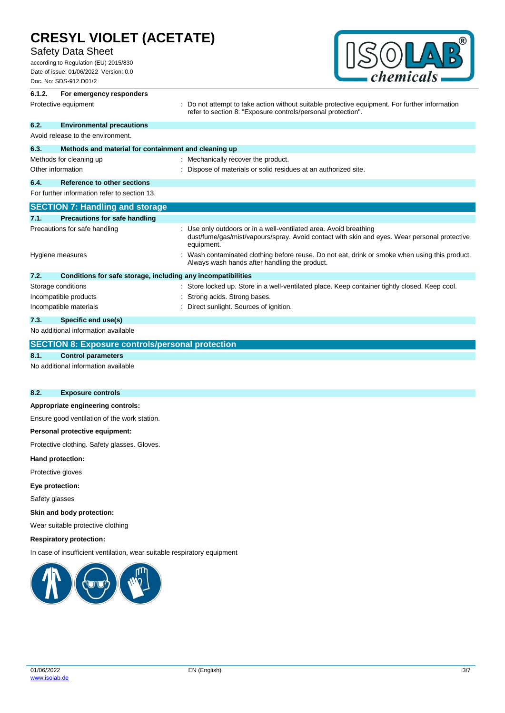## Safety Data Sheet

according to Regulation (EU) 2015/830 Date of issue: 01/06/2022 Version: 0.0 Doc. No: SDS-912.D01/2



# **6.1.2. For emergency responders** Protective equipment **interprotective** curves : Do not attempt to take action without suitable protective equipment. For further information refer to section 8: "Exposure controls/personal protection". **6.2. Environmental precautions** Avoid release to the environment. **6.3. Methods and material for containment and cleaning up** Methods for cleaning up : Mechanically recover the product. Other information **intervals and the Contract of Materials or solid residues at an authorized site. 6.4. Reference to other sections** For further information refer to section 13. **SECTION 7: Handling and storage 7.1. Precautions for safe handling** Precautions for safe handling **interest of the State of the State 1**: Use only outdoors or in a well-ventilated area. Avoid breathing dust/fume/gas/mist/vapours/spray. Avoid contact with skin and eyes. Wear personal protective equipment. Hygiene measures **interpretatal in the Contaminated clothing before reuse.** Do not eat, drink or smoke when using this product. Always wash hands after handling the product. **7.2. Conditions for safe storage, including any incompatibilities** Storage conditions **in the state of the state of the state of the store in a well-ventilated place. Keep container tightly closed. Keep cool.** Incompatible products in the strong acids. Strong bases. Incompatible materials **incompatible materials** : Direct sunlight. Sources of ignition. **7.3. Specific end use(s)** No additional information available **SECTION 8: Exposure controls/personal protection**

### **8.1. Control parameters**

No additional information available

## **8.2. Exposure controls**

### **Appropriate engineering controls:**

Ensure good ventilation of the work station.

### **Personal protective equipment:**

Protective clothing. Safety glasses. Gloves.

**Hand protection:**

Protective gloves

**Eye protection:**

Safety glasses

**Skin and body protection:**

Wear suitable protective clothing

### **Respiratory protection:**

In case of insufficient ventilation, wear suitable respiratory equipment

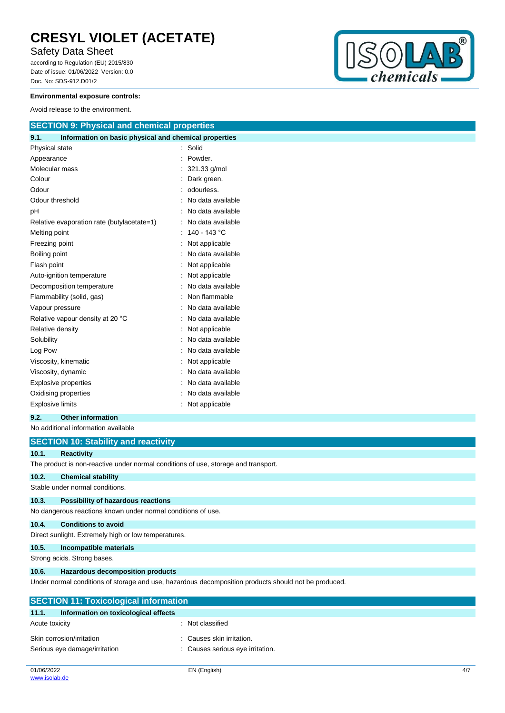# Safety Data Sheet

according to Regulation (EU) 2015/830 Date of issue: 01/06/2022 Version: 0.0 Doc. No: SDS-912.D01/2



### **Environmental exposure controls:**

Avoid release to the environment.

| <b>SECTION 9: Physical and chemical properties</b>            |  |                   |  |  |
|---------------------------------------------------------------|--|-------------------|--|--|
| Information on basic physical and chemical properties<br>9.1. |  |                   |  |  |
| Physical state                                                |  | Solid             |  |  |
| Appearance                                                    |  | Powder.           |  |  |
| Molecular mass                                                |  | 321.33 g/mol      |  |  |
| Colour                                                        |  | Dark green.       |  |  |
| Odour                                                         |  | odourless.        |  |  |
| Odour threshold                                               |  | No data available |  |  |
| рH                                                            |  | No data available |  |  |
| Relative evaporation rate (butylacetate=1)                    |  | No data available |  |  |
| Melting point                                                 |  | 140 - 143 °C      |  |  |
| Freezing point                                                |  | Not applicable    |  |  |
| Boiling point                                                 |  | No data available |  |  |
| Flash point                                                   |  | Not applicable    |  |  |
| Auto-ignition temperature                                     |  | Not applicable    |  |  |
| Decomposition temperature                                     |  | No data available |  |  |
| Flammability (solid, gas)                                     |  | Non flammable     |  |  |
| Vapour pressure                                               |  | No data available |  |  |
| Relative vapour density at 20 °C                              |  | No data available |  |  |
| Relative density                                              |  | Not applicable    |  |  |
| Solubility                                                    |  | No data available |  |  |
| Log Pow                                                       |  | No data available |  |  |
| Viscosity, kinematic                                          |  | Not applicable    |  |  |
| Viscosity, dynamic                                            |  | No data available |  |  |
| <b>Explosive properties</b><br>No data available              |  |                   |  |  |
| Oxidising properties                                          |  | No data available |  |  |
| <b>Explosive limits</b><br>Not applicable                     |  |                   |  |  |

### **9.2. Other information**

No additional information available

|       | <b>SECTION 10: Stability and reactivity</b>                                        |  |  |  |  |
|-------|------------------------------------------------------------------------------------|--|--|--|--|
| 10.1. | <b>Reactivity</b>                                                                  |  |  |  |  |
|       | The product is non-reactive under normal conditions of use, storage and transport. |  |  |  |  |
| 10.2. | <b>Chemical stability</b>                                                          |  |  |  |  |
|       | Stable under normal conditions.                                                    |  |  |  |  |
| 10.3. | Possibility of hazardous reactions                                                 |  |  |  |  |
|       | No dangerous reactions known under normal conditions of use.                       |  |  |  |  |
| 10.4. | <b>Conditions to avoid</b>                                                         |  |  |  |  |
|       | Direct sunlight. Extremely high or low temperatures.                               |  |  |  |  |
| 10.5. | Incompatible materials                                                             |  |  |  |  |
|       | Strong acids. Strong bases.                                                        |  |  |  |  |
| 10.6. | <b>Hazardous decomposition products</b>                                            |  |  |  |  |
|       |                                                                                    |  |  |  |  |

Under normal conditions of storage and use, hazardous decomposition products should not be produced.

| <b>SECTION 11: Toxicological information</b>  |                                  |  |  |
|-----------------------------------------------|----------------------------------|--|--|
| 11.1.<br>Information on toxicological effects |                                  |  |  |
| Acute toxicity                                | : Not classified                 |  |  |
| Skin corrosion/irritation                     | : Causes skin irritation.        |  |  |
| Serious eye damage/irritation                 | : Causes serious eye irritation. |  |  |
|                                               |                                  |  |  |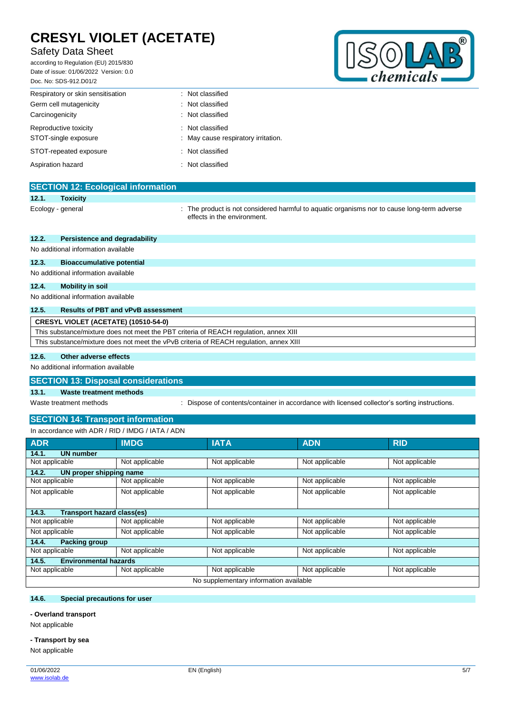# Safety Data Sheet

according to Regulation (EU) 2015/830 Date of issue: 01/06/2022 Version: 0.0 Doc. No: SDS-912.D01/2



| Respiratory or skin sensitisation | : Not classified                    |
|-----------------------------------|-------------------------------------|
| Germ cell mutagenicity            | : Not classified                    |
| Carcinogenicity                   | : Not classified                    |
| Reproductive toxicity             | : Not classified                    |
| STOT-single exposure              | : May cause respiratory irritation. |
| STOT-repeated exposure            | : Not classified                    |
| Aspiration hazard                 | : Not classified                    |
|                                   |                                     |

|       | <b>SECTION 12: Ecological information</b> |                                                                                                                            |
|-------|-------------------------------------------|----------------------------------------------------------------------------------------------------------------------------|
| 12.1. | <b>Toxicity</b>                           |                                                                                                                            |
|       | Ecology - general                         | : The product is not considered harmful to aquatic organisms nor to cause long-term adverse<br>effects in the environment. |
| 12.2. | Persistence and degradability             |                                                                                                                            |
|       | No additional information available       |                                                                                                                            |
| 12.3. | <b>Bioaccumulative potential</b>          |                                                                                                                            |

No additional information available

### **12.4. Mobility in soil**

No additional information available

# **12.5. Results of PBT and vPvB assessment**

| CRESYL VIOLET (ACETATE) (10510-54-0)                                                   |
|----------------------------------------------------------------------------------------|
| This substance/mixture does not meet the PBT criteria of REACH regulation, annex XIII  |
| This substance/mixture does not meet the vPvB criteria of REACH regulation, annex XIII |

### **12.6. Other adverse effects**

No additional information available

### **SECTION 13: Disposal considerations**

### **13.1. Waste treatment methods**

Waste treatment methods : Dispose of contents/container in accordance with licensed collector's sorting instructions.

## **SECTION 14: Transport information**

| In accordance with ADR / RID / IMDG / IATA / ADN |                                        |                |                |                |  |
|--------------------------------------------------|----------------------------------------|----------------|----------------|----------------|--|
| <b>ADR</b>                                       | <b>IMDG</b>                            | <b>IATA</b>    | <b>ADN</b>     | <b>RID</b>     |  |
| <b>UN number</b><br>14.1.                        |                                        |                |                |                |  |
| Not applicable                                   | Not applicable                         | Not applicable | Not applicable | Not applicable |  |
| 14.2.<br>UN proper shipping name                 |                                        |                |                |                |  |
| Not applicable                                   | Not applicable                         | Not applicable | Not applicable | Not applicable |  |
| Not applicable                                   | Not applicable                         | Not applicable | Not applicable | Not applicable |  |
|                                                  |                                        |                |                |                |  |
| 14.3.<br><b>Transport hazard class(es)</b>       |                                        |                |                |                |  |
| Not applicable                                   | Not applicable                         | Not applicable | Not applicable | Not applicable |  |
| Not applicable                                   | Not applicable                         | Not applicable | Not applicable | Not applicable |  |
| 14.4.<br><b>Packing group</b>                    |                                        |                |                |                |  |
| Not applicable                                   | Not applicable                         | Not applicable | Not applicable | Not applicable |  |
| <b>Environmental hazards</b><br>14.5.            |                                        |                |                |                |  |
| Not applicable                                   | Not applicable                         | Not applicable | Not applicable | Not applicable |  |
|                                                  | No supplementary information available |                |                |                |  |

### **14.6. Special precautions for user**

### **- Overland transport**

Not applicable

### **- Transport by sea**

Not applicable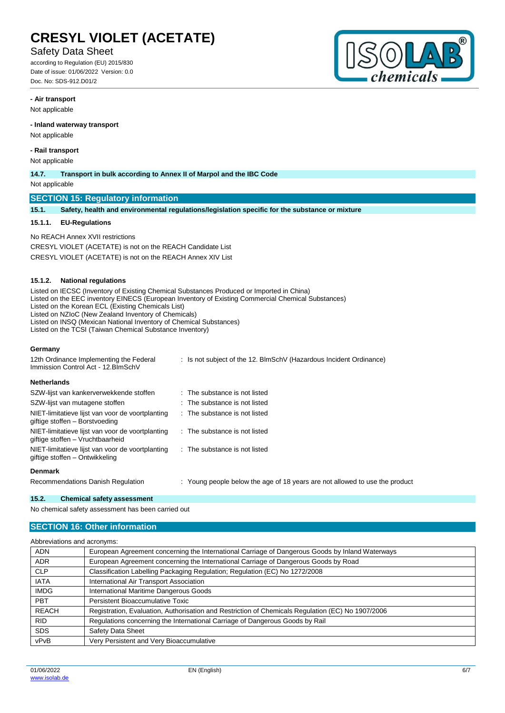## Safety Data Sheet

according to Regulation (EU) 2015/830 Date of issue: 01/06/2022 Version: 0.0 Doc. No: SDS-912.D01/2



### **- Air transport**

Not applicable

### **- Inland waterway transport**

Not applicable

#### **- Rail transport**

Not applicable

#### **14.7. Transport in bulk according to Annex II of Marpol and the IBC Code**

Not applicable

## **SECTION 15: Regulatory information**

**15.1. Safety, health and environmental regulations/legislation specific for the substance or mixture**

#### **15.1.1. EU-Regulations**

No REACH Annex XVII restrictions CRESYL VIOLET (ACETATE) is not on the REACH Candidate List CRESYL VIOLET (ACETATE) is not on the REACH Annex XIV List

#### **15.1.2. National regulations**

Listed on IECSC (Inventory of Existing Chemical Substances Produced or Imported in China)

Listed on the EEC inventory EINECS (European Inventory of Existing Commercial Chemical Substances)

Listed on the Korean ECL (Existing Chemicals List)

Listed on NZIoC (New Zealand Inventory of Chemicals)

Listed on INSQ (Mexican National Inventory of Chemical Substances)

Listed on the TCSI (Taiwan Chemical Substance Inventory)

### **Germany**

| 12th Ordinance Implementing the Federal<br>Immission Control Act - 12. BlmSchV       | : Is not subject of the 12. BlmSchV (Hazardous Incident Ordinance)          |
|--------------------------------------------------------------------------------------|-----------------------------------------------------------------------------|
| <b>Netherlands</b>                                                                   |                                                                             |
| SZW-lijst van kankerverwekkende stoffen                                              | $\therefore$ The substance is not listed                                    |
| SZW-lijst van mutagene stoffen                                                       | $\therefore$ The substance is not listed                                    |
| NIET-limitatieve lijst van voor de voortplanting<br>giftige stoffen - Borstvoeding   | $\therefore$ The substance is not listed                                    |
| NIET-limitatieve lijst van voor de voortplanting<br>giftige stoffen - Vruchtbaarheid | $\therefore$ The substance is not listed                                    |
| NIET-limitatieve lijst van voor de voortplanting<br>giftige stoffen - Ontwikkeling   | : The substance is not listed                                               |
| <b>Denmark</b>                                                                       |                                                                             |
| Recommendations Danish Regulation                                                    | : Young people below the age of 18 years are not allowed to use the product |

#### **15.2. Chemical safety assessment**

No chemical safety assessment has been carried out

### **SECTION 16: Other information**

| Abbreviations and acronyms: |                                                                                                   |
|-----------------------------|---------------------------------------------------------------------------------------------------|
| <b>ADN</b>                  | European Agreement concerning the International Carriage of Dangerous Goods by Inland Waterways   |
| <b>ADR</b>                  | European Agreement concerning the International Carriage of Dangerous Goods by Road               |
| <b>CLP</b>                  | Classification Labelling Packaging Regulation; Regulation (EC) No 1272/2008                       |
| <b>IATA</b>                 | International Air Transport Association                                                           |
| <b>IMDG</b>                 | International Maritime Dangerous Goods                                                            |
| <b>PBT</b>                  | Persistent Bioaccumulative Toxic                                                                  |
| <b>REACH</b>                | Registration, Evaluation, Authorisation and Restriction of Chemicals Regulation (EC) No 1907/2006 |
| RID.                        | Regulations concerning the International Carriage of Dangerous Goods by Rail                      |
| <b>SDS</b>                  | Safety Data Sheet                                                                                 |
| vPvB                        | Very Persistent and Very Bioaccumulative                                                          |